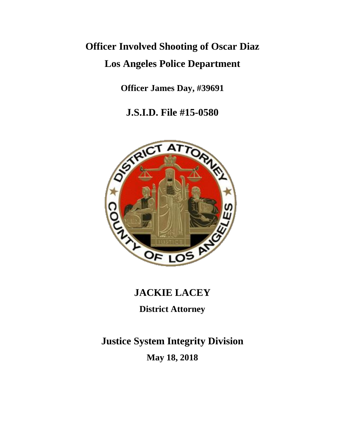# **Officer Involved Shooting of Oscar Diaz Los Angeles Police Department**

**Officer James Day, #39691**

**J.S.I.D. File #15-0580**



# **JACKIE LACEY**

**District Attorney**

**Justice System Integrity Division May 18, 2018**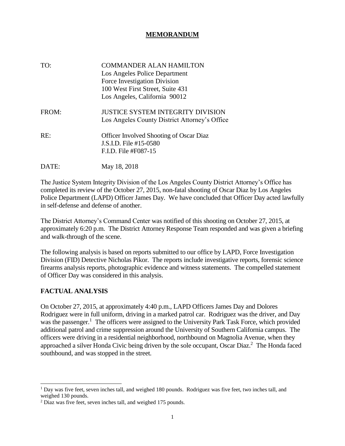#### **MEMORANDUM**

| TO:   | <b>COMMANDER ALAN HAMILTON</b><br>Los Angeles Police Department<br>Force Investigation Division<br>100 West First Street, Suite 431<br>Los Angeles, California 90012 |
|-------|----------------------------------------------------------------------------------------------------------------------------------------------------------------------|
| FROM: | <b>JUSTICE SYSTEM INTEGRITY DIVISION</b><br>Los Angeles County District Attorney's Office                                                                            |
| RE:   | <b>Officer Involved Shooting of Oscar Diaz</b><br>J.S.I.D. File #15-0580<br>F.I.D. File #F087-15                                                                     |
|       | May 18, 2018                                                                                                                                                         |

The Justice System Integrity Division of the Los Angeles County District Attorney's Office has completed its review of the October 27, 2015, non-fatal shooting of Oscar Diaz by Los Angeles Police Department (LAPD) Officer James Day. We have concluded that Officer Day acted lawfully in self-defense and defense of another.

The District Attorney's Command Center was notified of this shooting on October 27, 2015, at approximately 6:20 p.m. The District Attorney Response Team responded and was given a briefing and walk-through of the scene.

The following analysis is based on reports submitted to our office by LAPD, Force Investigation Division (FID) Detective Nicholas Pikor. The reports include investigative reports, forensic science firearms analysis reports, photographic evidence and witness statements. The compelled statement of Officer Day was considered in this analysis.

# **FACTUAL ANALYSIS**

On October 27, 2015, at approximately 4:40 p.m., LAPD Officers James Day and Dolores Rodriguez were in full uniform, driving in a marked patrol car. Rodriguez was the driver, and Day was the passenger.<sup>1</sup> The officers were assigned to the University Park Task Force, which provided additional patrol and crime suppression around the University of Southern California campus. The officers were driving in a residential neighborhood, northbound on Magnolia Avenue, when they approached a silver Honda Civic being driven by the sole occupant, Oscar Diaz.<sup>2</sup> The Honda faced southbound, and was stopped in the street.

<sup>1</sup> Day was five feet, seven inches tall, and weighed 180 pounds. Rodriguez was five feet, two inches tall, and weighed 130 pounds.

<sup>2</sup> Diaz was five feet, seven inches tall, and weighed 175 pounds.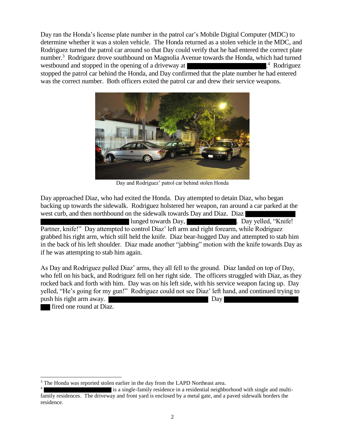Day ran the Honda's license plate number in the patrol car's Mobile Digital Computer (MDC) to determine whether it was a stolen vehicle. The Honda returned as a stolen vehicle in the MDC, and Rodriguez turned the patrol car around so that Day could verify that he had entered the correct plate number.<sup>3</sup> Rodriguez drove southbound on Magnolia Avenue towards the Honda, which had turned westbound and stopped in the opening of a driveway at 4 Rodriguez stopped the patrol car behind the Honda, and Day confirmed that the plate number he had entered

was the correct number. Both officers exited the patrol car and drew their service weapons.



Day and Rodriguez' patrol car behind stolen Honda

Day approached Diaz, who had exited the Honda. Day attempted to detain Diaz, who began backing up towards the sidewalk. Rodriguez holstered her weapon, ran around a car parked at the west curb, and then northbound on the sidewalk towards Day and Diaz. Diaz

lunged towards Day, **Example 2.** Day yelled, "Knife! Partner, knife!" Day attempted to control Diaz' left arm and right forearm, while Rodriguez grabbed his right arm, which still held the knife. Diaz bear-hugged Day and attempted to stab him in the back of his left shoulder. Diaz made another "jabbing" motion with the knife towards Day as if he was attempting to stab him again.

As Day and Rodriguez pulled Diaz' arms, they all fell to the ground. Diaz landed on top of Day, who fell on his back, and Rodriguez fell on her right side. The officers struggled with Diaz, as they rocked back and forth with him. Day was on his left side, with his service weapon facing up. Day yelled, "He's going for my gun!" Rodriguez could not see Diaz' left hand, and continued trying to push his right arm away. Day

fired one round at Diaz.

<sup>&</sup>lt;sup>3</sup> The Honda was reported stolen earlier in the day from the LAPD Northeast area.

<sup>4</sup> is a single-family residence in a residential neighborhood with single and multifamily residences. The driveway and front yard is enclosed by a metal gate, and a paved sidewalk borders the residence.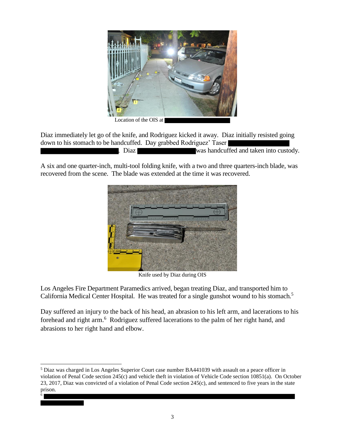

Diaz immediately let go of the knife, and Rodriguez kicked it away. Diaz initially resisted going down to his stomach to be handcuffed. Day grabbed Rodriguez' Taser . Diaz was handcuffed and taken into custody.

A six and one quarter-inch, multi-tool folding knife, with a two and three quarters-inch blade, was recovered from the scene. The blade was extended at the time it was recovered.



Knife used by Diaz during OIS

Los Angeles Fire Department Paramedics arrived, began treating Diaz, and transported him to California Medical Center Hospital. He was treated for a single gunshot wound to his stomach.<sup>5</sup>

Day suffered an injury to the back of his head, an abrasion to his left arm, and lacerations to his forehead and right arm.<sup>6</sup> Rodriguez suffered lacerations to the palm of her right hand, and abrasions to her right hand and elbow.

 $\overline{a}$ 

<sup>5</sup> Diaz was charged in Los Angeles Superior Court case number BA441039 with assault on a peace officer in violation of Penal Code section 245(c) and vehicle theft in violation of Vehicle Code section 10851(a). On October 23, 2017, Diaz was convicted of a violation of Penal Code section 245(c), and sentenced to five years in the state prison. 6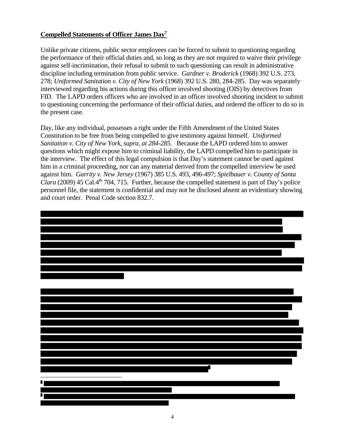#### **Compelled Statements of Officer James Day<sup>7</sup>**

Unlike private citizens, public sector employees can be forced to submit to questioning regarding the performance of their official duties and, so long as they are not required to waive their privilege against self-incrimination, their refusal to submit to such questioning can result in administrative discipline including termination from public service. *Gardner v. Broderick* (1968) 392 U.S. 273, 278; *Uniformed Sanitation v. City of New York* (1968) 392 U.S. 280, 284-285. Day was separately interviewed regarding his actions during this officer involved shooting (OIS) by detectives from FID. The LAPD orders officers who are involved in an officer involved shooting incident to submit to questioning concerning the performance of their official duties, and ordered the officer to do so in the present case.

Day, like any individual, possesses a right under the Fifth Amendment of the United States Constitution to be free from being compelled to give testimony against himself. *Uniformed Sanitation v. City of New York, supra, at 284-285.* Because the LAPD ordered him to answer questions which might expose him to criminal liability, the LAPD compelled him to participate in the interview. The effect of this legal compulsion is that Day's statement cannot be used against him in a criminal proceeding, nor can any material derived from the compelled interview be used against him. *Garrity v. New Jersey* (1967) 385 U.S. 493, 496-497; *Spielbauer v. County of Santa*  Clara (2009) 45 Cal.4<sup>th</sup> 704, 715. Further, because the compelled statement is part of Day's police personnel file, the statement is confidential and may not be disclosed absent an evidentiary showing and court order. Penal Code section 832.7.

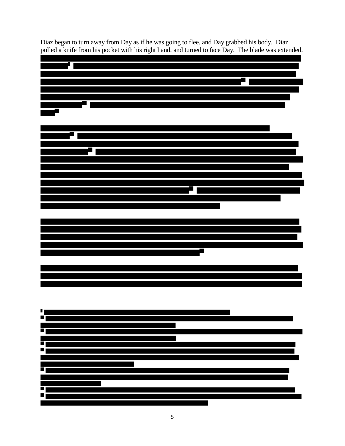

Diaz began to turn away from Day as if he was going to flee, and Day grabbed his body. Diaz pulled a knife from his pocket with his right hand, and turned to face Day. The blade was extended.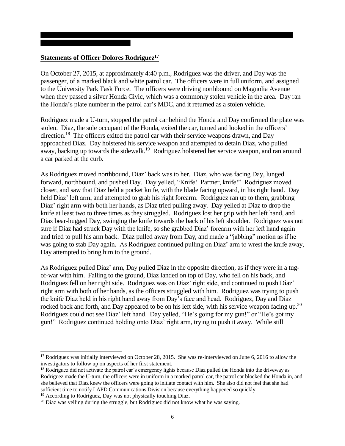#### **Statements of Officer Dolores Rodriguez<sup>17</sup>**

On October 27, 2015, at approximately 4:40 p.m., Rodriguez was the driver, and Day was the passenger, of a marked black and white patrol car. The officers were in full uniform, and assigned to the University Park Task Force. The officers were driving northbound on Magnolia Avenue when they passed a silver Honda Civic, which was a commonly stolen vehicle in the area. Day ran the Honda's plate number in the patrol car's MDC, and it returned as a stolen vehicle.

Rodriguez made a U-turn, stopped the patrol car behind the Honda and Day confirmed the plate was stolen. Diaz, the sole occupant of the Honda, exited the car, turned and looked in the officers' direction.<sup>18</sup> The officers exited the patrol car with their service weapons drawn, and Day approached Diaz. Day holstered his service weapon and attempted to detain Diaz, who pulled away, backing up towards the sidewalk.<sup>19</sup> Rodriguez holstered her service weapon, and ran around a car parked at the curb.

As Rodriguez moved northbound, Diaz' back was to her. Diaz, who was facing Day, lunged forward, northbound, and pushed Day. Day yelled, "Knife! Partner, knife!" Rodriguez moved closer, and saw that Diaz held a pocket knife, with the blade facing upward, in his right hand. Day held Diaz' left arm, and attempted to grab his right forearm. Rodriguez ran up to them, grabbing Diaz' right arm with both her hands, as Diaz tried pulling away. Day yelled at Diaz to drop the knife at least two to three times as they struggled. Rodriguez lost her grip with her left hand, and Diaz bear-hugged Day, swinging the knife towards the back of his left shoulder. Rodriguez was not sure if Diaz had struck Day with the knife, so she grabbed Diaz' forearm with her left hand again and tried to pull his arm back. Diaz pulled away from Day, and made a "jabbing" motion as if he was going to stab Day again. As Rodriguez continued pulling on Diaz' arm to wrest the knife away, Day attempted to bring him to the ground.

As Rodriguez pulled Diaz' arm, Day pulled Diaz in the opposite direction, as if they were in a tugof-war with him. Falling to the ground, Diaz landed on top of Day, who fell on his back, and Rodriguez fell on her right side. Rodriguez was on Diaz' right side, and continued to push Diaz' right arm with both of her hands, as the officers struggled with him. Rodriguez was trying to push the knife Diaz held in his right hand away from Day's face and head. Rodriguez, Day and Diaz rocked back and forth, and Day appeared to be on his left side, with his service weapon facing up.<sup>20</sup> Rodriguez could not see Diaz' left hand. Day yelled, "He's going for my gun!" or "He's got my gun!" Rodriguez continued holding onto Diaz' right arm, trying to push it away. While still

<sup>19</sup> According to Rodriguez, Day was not physically touching Diaz.

 $\overline{a}$ 

<sup>&</sup>lt;sup>17</sup> Rodriguez was initially interviewed on October 28, 2015. She was re-interviewed on June 6, 2016 to allow the investigators to follow up on aspects of her first statement.

<sup>&</sup>lt;sup>18</sup> Rodriguez did not activate the patrol car's emergency lights because Diaz pulled the Honda into the driveway as Rodriguez made the U-turn, the officers were in uniform in a marked patrol car, the patrol car blocked the Honda in, and she believed that Diaz knew the officers were going to initiate contact with him. She also did not feel that she had sufficient time to notify LAPD Communications Division because everything happened so quickly.

 $^{20}$  Diaz was yelling during the struggle, but Rodriguez did not know what he was saying.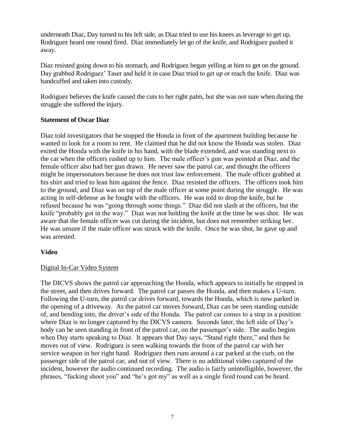underneath Diaz, Day turned to his left side, as Diaz tried to use his knees as leverage to get up. Rodriguez heard one round fired. Diaz immediately let go of the knife, and Rodriguez pushed it away.

Diaz resisted going down to his stomach, and Rodriguez began yelling at him to get on the ground. Day grabbed Rodriguez' Taser and held it in case Diaz tried to get up or reach the knife. Diaz was handcuffed and taken into custody.

Rodriguez believes the knife caused the cuts to her right palm, but she was not sure when during the struggle she suffered the injury.

#### **Statement of Oscar Diaz**

Diaz told investigators that he stopped the Honda in front of the apartment building because he wanted to look for a room to rent. He claimed that he did not know the Honda was stolen. Diaz exited the Honda with the knife in his hand, with the blade extended, and was standing next to the car when the officers rushed up to him. The male officer's gun was pointed at Diaz, and the female officer also had her gun drawn. He never saw the patrol car, and thought the officers might be impersonators because he does not trust law enforcement. The male officer grabbed at his shirt and tried to lean him against the fence. Diaz resisted the officers. The officers took him to the ground, and Diaz was on top of the male officer at some point during the struggle. He was acting in self-defense as he fought with the officers. He was told to drop the knife, but he refused because he was "going through some things." Diaz did not slash at the officers, but the knife "probably got in the way." Diaz was not holding the knife at the time he was shot. He was aware that the female officer was cut during the incident, but does not remember striking her. He was unsure if the male officer was struck with the knife. Once he was shot, he gave up and was arrested.

# **Video**

# Digital In-Car Video System

The DICVS shows the patrol car approaching the Honda, which appears to initially be stopped in the street, and then drives forward. The patrol car passes the Honda, and then makes a U-turn. Following the U-turn, the patrol car drives forward, towards the Honda, which is now parked in the opening of a driveway. As the patrol car moves forward, Diaz can be seen standing outside of, and bending into, the driver's side of the Honda. The patrol car comes to a stop in a position where Diaz is no longer captured by the DICVS camera. Seconds later, the left side of Day's body can be seen standing in front of the patrol car, on the passenger's side. The audio begins when Day starts speaking to Diaz. It appears that Day says, "Stand right there," and then he moves out of view. Rodriguez is seen walking towards the front of the patrol car with her service weapon in her right hand. Rodriguez then runs around a car parked at the curb, on the passenger side of the patrol car, and out of view. There is no additional video captured of the incident, however the audio continued recording. The audio is fairly unintelligible, however, the phrases, "fucking shoot you" and "he's got my" as well as a single fired round can be heard.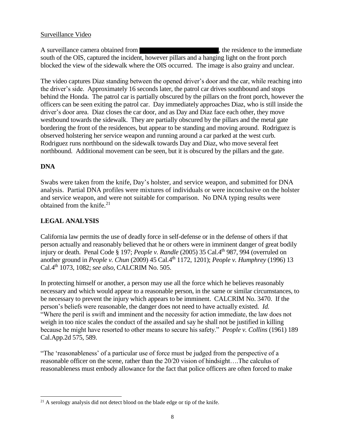A surveillance camera obtained from  $\blacksquare$ , the residence to the immediate south of the OIS, captured the incident, however pillars and a hanging light on the front porch blocked the view of the sidewalk where the OIS occurred. The image is also grainy and unclear.

The video captures Diaz standing between the opened driver's door and the car, while reaching into the driver's side. Approximately 16 seconds later, the patrol car drives southbound and stops behind the Honda. The patrol car is partially obscured by the pillars on the front porch, however the officers can be seen exiting the patrol car. Day immediately approaches Diaz, who is still inside the driver's door area. Diaz closes the car door, and as Day and Diaz face each other, they move westbound towards the sidewalk. They are partially obscured by the pillars and the metal gate bordering the front of the residences, but appear to be standing and moving around. Rodriguez is observed holstering her service weapon and running around a car parked at the west curb. Rodriguez runs northbound on the sidewalk towards Day and Diaz, who move several feet northbound. Additional movement can be seen, but it is obscured by the pillars and the gate.

# **DNA**

Swabs were taken from the knife, Day's holster, and service weapon, and submitted for DNA analysis. Partial DNA profiles were mixtures of individuals or were inconclusive on the holster and service weapon, and were not suitable for comparison. No DNA typing results were obtained from the knife.<sup>21</sup>

# **LEGAL ANALYSIS**

California law permits the use of deadly force in self-defense or in the defense of others if that person actually and reasonably believed that he or others were in imminent danger of great bodily injury or death. Penal Code § 197; *People v. Randle* (2005) 35 Cal.4<sup>th</sup> 987, 994 (overruled on another ground in *People v. Chun* (2009) 45 Cal.4th 1172, 1201); *People v. Humphrey* (1996) 13 Cal.4th 1073, 1082; *see also,* CALCRIM No. 505.

In protecting himself or another, a person may use all the force which he believes reasonably necessary and which would appear to a reasonable person, in the same or similar circumstances, to be necessary to prevent the injury which appears to be imminent. CALCRIM No. 3470. If the person's beliefs were reasonable, the danger does not need to have actually existed. *Id.* "Where the peril is swift and imminent and the necessity for action immediate, the law does not weigh in too nice scales the conduct of the assailed and say he shall not be justified in killing because he might have resorted to other means to secure his safety." *People v. Collins* (1961) 189 Cal.App.2d 575, 589.

"The 'reasonableness' of a particular use of force must be judged from the perspective of a reasonable officer on the scene, rather than the 20/20 vision of hindsight….The calculus of reasonableness must embody allowance for the fact that police officers are often forced to make

l <sup>21</sup> A serology analysis did not detect blood on the blade edge or tip of the knife.